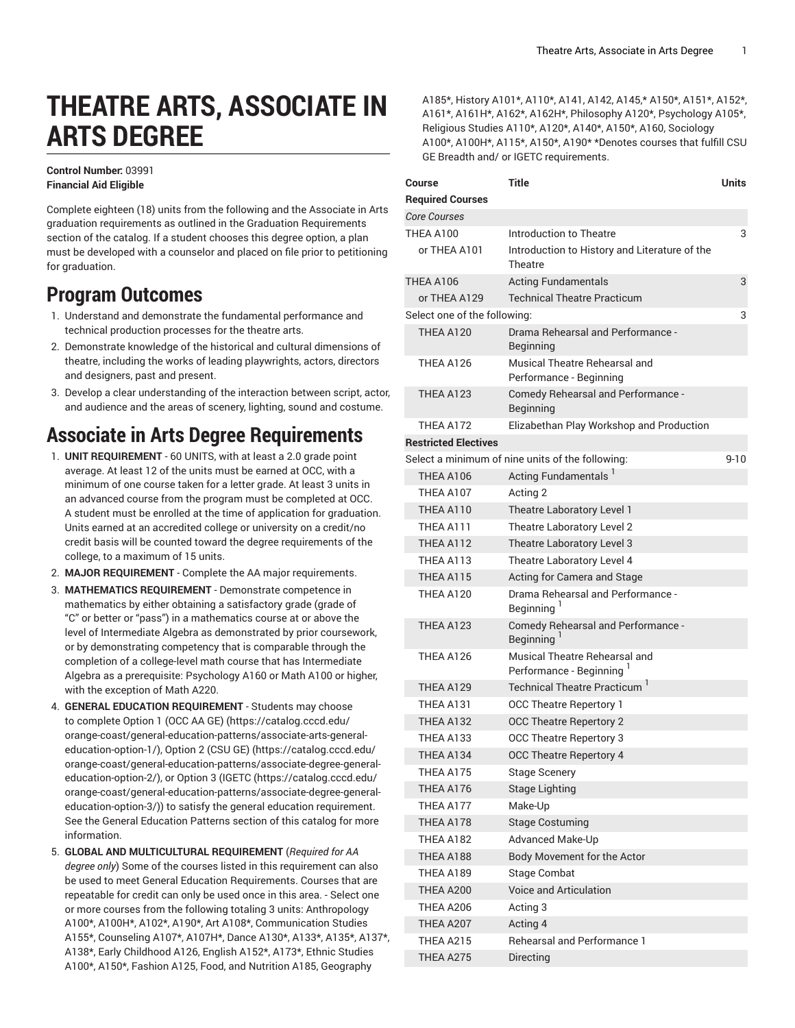# **THEATRE ARTS, ASSOCIATE IN ARTS DEGREE**

#### **Control Number:** 03991 **Financial Aid Eligible**

Complete eighteen (18) units from the following and the Associate in Arts graduation requirements as outlined in the Graduation Requirements section of the catalog. If a student chooses this degree option, a plan must be developed with a counselor and placed on file prior to petitioning for graduation.

### **Program Outcomes**

- 1. Understand and demonstrate the fundamental performance and technical production processes for the theatre arts.
- 2. Demonstrate knowledge of the historical and cultural dimensions of theatre, including the works of leading playwrights, actors, directors and designers, past and present.
- 3. Develop a clear understanding of the interaction between script, actor, and audience and the areas of scenery, lighting, sound and costume.

### **Associate in Arts Degree Requirements**

- 1. **UNIT REQUIREMENT** 60 UNITS, with at least a 2.0 grade point average. At least 12 of the units must be earned at OCC, with a minimum of one course taken for a letter grade. At least 3 units in an advanced course from the program must be completed at OCC. A student must be enrolled at the time of application for graduation. Units earned at an accredited college or university on a credit/no credit basis will be counted toward the degree requirements of the college, to a maximum of 15 units.
- 2. **MAJOR REQUIREMENT** Complete the AA major requirements.
- 3. **MATHEMATICS REQUIREMENT** Demonstrate competence in mathematics by either obtaining a satisfactory grade (grade of "C" or better or "pass") in a mathematics course at or above the level of Intermediate Algebra as demonstrated by prior coursework, or by demonstrating competency that is comparable through the completion of a college-level math course that has Intermediate Algebra as a prerequisite: Psychology A160 or Math A100 or higher, with the exception of Math A220.
- 4. **GENERAL EDUCATION REQUIREMENT** Students may choose to complete [Option 1 \(OCC AA GE\)](https://catalog.cccd.edu/orange-coast/general-education-patterns/associate-arts-general-education-option-1/) [\(https://catalog.cccd.edu/](https://catalog.cccd.edu/orange-coast/general-education-patterns/associate-arts-general-education-option-1/) [orange-coast/general-education-patterns/associate-arts-general](https://catalog.cccd.edu/orange-coast/general-education-patterns/associate-arts-general-education-option-1/)[education-option-1/\)](https://catalog.cccd.edu/orange-coast/general-education-patterns/associate-arts-general-education-option-1/), [Option 2 \(CSU GE\)](https://catalog.cccd.edu/orange-coast/general-education-patterns/associate-degree-general-education-option-2/) ([https://catalog.cccd.edu/](https://catalog.cccd.edu/orange-coast/general-education-patterns/associate-degree-general-education-option-2/) [orange-coast/general-education-patterns/associate-degree-general](https://catalog.cccd.edu/orange-coast/general-education-patterns/associate-degree-general-education-option-2/)[education-option-2/\)](https://catalog.cccd.edu/orange-coast/general-education-patterns/associate-degree-general-education-option-2/), or [Option](https://catalog.cccd.edu/orange-coast/general-education-patterns/associate-degree-general-education-option-3/) 3 (IGETC [\(https://catalog.cccd.edu/](https://catalog.cccd.edu/orange-coast/general-education-patterns/associate-degree-general-education-option-3/) [orange-coast/general-education-patterns/associate-degree-general](https://catalog.cccd.edu/orange-coast/general-education-patterns/associate-degree-general-education-option-3/)[education-option-3/\)](https://catalog.cccd.edu/orange-coast/general-education-patterns/associate-degree-general-education-option-3/)) to satisfy the general education requirement. See the General Education Patterns section of this catalog for more information.
- 5. **GLOBAL AND MULTICULTURAL REQUIREMENT** (*Required for AA degree only*) Some of the courses listed in this requirement can also be used to meet General Education Requirements. Courses that are repeatable for credit can only be used once in this area. - Select one or more courses from the following totaling 3 units: Anthropology A100\*, A100H\*, A102\*, A190\*, Art A108\*, Communication Studies A155\*, Counseling A107\*, A107H\*, Dance A130\*, A133\*, A135\*, A137\*, A138\*, Early Childhood A126, English A152\*, A173\*, Ethnic Studies A100\*, A150\*, Fashion A125, Food, and Nutrition A185, Geography

A185\*, History A101\*, A110\*, A141, A142, A145,\* A150\*, A151\*, A152\*, A161\*, A161H\*, A162\*, A162H\*, Philosophy A120\*, Psychology A105\*, Religious Studies A110\*, A120\*, A140\*, A150\*, A160, Sociology A100\*, A100H\*, A115\*, A150\*, A190\* \*Denotes courses that fulfill CSU GE Breadth and/ or IGETC requirements.

| Course                       | <b>Title</b>                                                          | <b>Units</b> |
|------------------------------|-----------------------------------------------------------------------|--------------|
| <b>Required Courses</b>      |                                                                       |              |
| <b>Core Courses</b>          |                                                                       |              |
| THEA A100                    | Introduction to Theatre                                               | 3            |
| or THEA A101                 | Introduction to History and Literature of the<br>Theatre              |              |
| THEA A106                    | <b>Acting Fundamentals</b>                                            | 3            |
| or THEA A129                 | <b>Technical Theatre Practicum</b>                                    |              |
| Select one of the following: |                                                                       | 3            |
| <b>THEA A120</b>             | Drama Rehearsal and Performance -<br><b>Beginning</b>                 |              |
| THEA A126                    | Musical Theatre Rehearsal and<br>Performance - Beginning              |              |
| THEA A123                    | Comedy Rehearsal and Performance -<br><b>Beginning</b>                |              |
| THEA A172                    | Elizabethan Play Workshop and Production                              |              |
| <b>Restricted Electives</b>  |                                                                       |              |
|                              | Select a minimum of nine units of the following:                      | $9 - 10$     |
| THEA A106                    | Acting Fundamentals                                                   |              |
| THEA A107                    | Acting 2                                                              |              |
| THEA A110                    | Theatre Laboratory Level 1                                            |              |
| THFA A111                    | Theatre Laboratory Level 2                                            |              |
| THEA A112                    | Theatre Laboratory Level 3                                            |              |
| THEA A113                    | Theatre Laboratory Level 4                                            |              |
| THEA A115                    | Acting for Camera and Stage                                           |              |
| THEA A120                    | Drama Rehearsal and Performance -<br>Beginning <sup>1</sup>           |              |
| THEA A123                    | Comedy Rehearsal and Performance -<br>Beginning <sup>1</sup>          |              |
| THEA A126                    | Musical Theatre Rehearsal and<br>Performance - Beginning <sup>1</sup> |              |
| THEA A129                    | Technical Theatre Practicum <sup>1</sup>                              |              |
| THEA A131                    | OCC Theatre Repertory 1                                               |              |
| THEA A132                    | <b>OCC Theatre Repertory 2</b>                                        |              |
| THEA A133                    | <b>OCC Theatre Repertory 3</b>                                        |              |
| THEA A134                    | OCC Theatre Repertory 4                                               |              |
| THEA A175                    | Stage Scenery                                                         |              |
| THEA A176                    | <b>Stage Lighting</b>                                                 |              |
| THEA A177                    | Make-Up                                                               |              |
| THEA A178                    | <b>Stage Costuming</b>                                                |              |
| THEA A182                    | Advanced Make-Up                                                      |              |
| THEA A188                    | Body Movement for the Actor                                           |              |
| THEA A189                    | Stage Combat                                                          |              |
| THEA A200                    | Voice and Articulation                                                |              |
| THEA A206                    | Acting 3                                                              |              |
| THEA A207                    | Acting 4                                                              |              |
| THEA A215                    | <b>Rehearsal and Performance 1</b>                                    |              |
| THEA A275                    | Directing                                                             |              |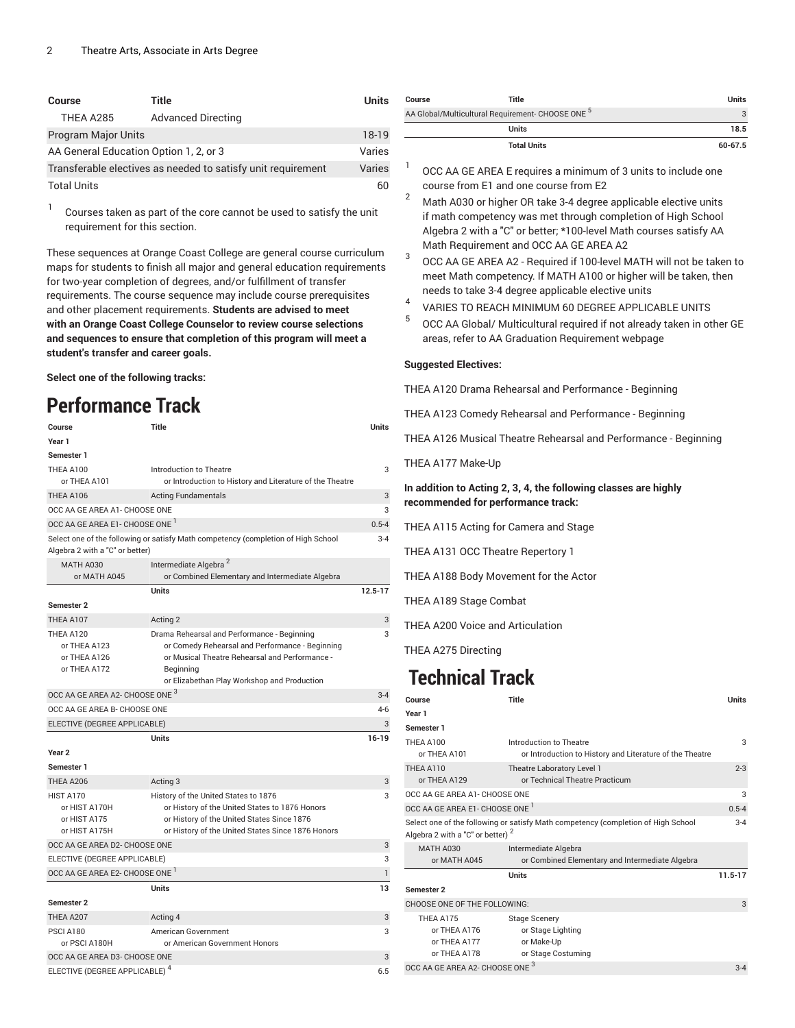| <b>Course</b>                                                | Title                     | <b>Units</b> |
|--------------------------------------------------------------|---------------------------|--------------|
| THEA A285                                                    | <b>Advanced Directing</b> |              |
| <b>Program Major Units</b>                                   |                           | 18-19        |
| AA General Education Option 1, 2, or 3                       |                           | Varies       |
| Transferable electives as needed to satisfy unit requirement |                           | Varies       |
| <b>Total Units</b>                                           |                           | 60           |

1 Courses taken as part of the core cannot be used to satisfy the unit requirement for this section.

These sequences at Orange Coast College are general course curriculum maps for students to finish all major and general education requirements for two-year completion of degrees, and/or fulfillment of transfer requirements. The course sequence may include course prerequisites and other placement requirements. **Students are advised to meet with an Orange Coast College Counselor to review course selections and sequences to ensure that completion of this program will meet a student's transfer and career goals.**

**Select one of the following tracks:**

# **Performance Track**

| Course                                                             | Title                                                                                                                                                                                                        | Units        |
|--------------------------------------------------------------------|--------------------------------------------------------------------------------------------------------------------------------------------------------------------------------------------------------------|--------------|
| Year 1                                                             |                                                                                                                                                                                                              |              |
| Semester 1                                                         |                                                                                                                                                                                                              |              |
| THEA A100<br>or THEA A101                                          | Introduction to Theatre<br>or Introduction to History and Literature of the Theatre                                                                                                                          | 3            |
| THEA A106                                                          | <b>Acting Fundamentals</b>                                                                                                                                                                                   | 3            |
| OCC AA GE AREA A1- CHOOSE ONE                                      |                                                                                                                                                                                                              | 3            |
| OCC AA GE AREA E1- CHOOSE ONE <sup>1</sup>                         |                                                                                                                                                                                                              | $0.5 - 4$    |
| Algebra 2 with a "C" or better)                                    | Select one of the following or satisfy Math competency (completion of High School                                                                                                                            | $3 - 4$      |
| <b>MATH A030</b>                                                   | Intermediate Algebra <sup>2</sup>                                                                                                                                                                            |              |
| or MATH A045                                                       | or Combined Elementary and Intermediate Algebra                                                                                                                                                              |              |
|                                                                    | Units                                                                                                                                                                                                        | $12.5 - 17$  |
| <b>Semester 2</b>                                                  |                                                                                                                                                                                                              |              |
| THEA A107                                                          | Acting 2                                                                                                                                                                                                     | 3            |
| THEA A120<br>or THEA A123<br>or THEA A126<br>or THEA A172          | Drama Rehearsal and Performance - Beginning<br>or Comedy Rehearsal and Performance - Beginning<br>or Musical Theatre Rehearsal and Performance -<br>Beginning<br>or Elizabethan Play Workshop and Production | 3            |
| OCC AA GE AREA A2- CHOOSE ONE 3                                    |                                                                                                                                                                                                              | $3 - 4$      |
| OCC AA GE AREA B- CHOOSE ONE                                       |                                                                                                                                                                                                              | 4-6          |
| ELECTIVE (DEGREE APPLICABLE)                                       |                                                                                                                                                                                                              | 3            |
|                                                                    | <b>Units</b>                                                                                                                                                                                                 | $16 - 19$    |
| Year <sub>2</sub><br>Semester 1                                    |                                                                                                                                                                                                              |              |
| THEA A206                                                          | Acting 3                                                                                                                                                                                                     | 3            |
| <b>HIST A170</b><br>or HIST A170H<br>or HIST A175<br>or HIST A175H | History of the United States to 1876<br>or History of the United States to 1876 Honors<br>or History of the United States Since 1876<br>or History of the United States Since 1876 Honors                    | 3            |
| OCC AA GE AREA D2- CHOOSE ONE                                      |                                                                                                                                                                                                              | 3            |
| ELECTIVE (DEGREE APPLICABLE)                                       |                                                                                                                                                                                                              | 3            |
| OCC AA GE AREA E2- CHOOSE ONE                                      |                                                                                                                                                                                                              | $\mathbf{1}$ |
|                                                                    | Units                                                                                                                                                                                                        | 13           |
| Semester 2                                                         |                                                                                                                                                                                                              |              |
| THEA A207                                                          | Acting 4                                                                                                                                                                                                     | 3            |
| PSCI A180<br>or PSCI A180H                                         | American Government<br>or American Government Honors                                                                                                                                                         | 3            |
| OCC AA GE AREA D3- CHOOSE ONE                                      |                                                                                                                                                                                                              | 3            |
| ELECTIVE (DEGREE APPLICABLE) <sup>4</sup>                          |                                                                                                                                                                                                              | 6.5          |

| Course                                                       | Title              | Units   |
|--------------------------------------------------------------|--------------------|---------|
| AA Global/Multicultural Requirement- CHOOSE ONE <sup>5</sup> |                    |         |
|                                                              | <b>Units</b>       | 18.5    |
|                                                              | <b>Total Units</b> | 60-67.5 |

- 1 OCC AA GE AREA E requires a minimum of 3 units to include one course from E1 and one course from E2
- <sup>2</sup> Math A030 or higher OR take 3-4 degree applicable elective units if math competency was met through completion of High School Algebra 2 with a "C" or better; \*100-level Math courses satisfy AA Math Requirement and OCC AA GE AREA A2
- 3 OCC AA GE AREA A2 - Required if 100-level MATH will not be taken to meet Math competency. If MATH A100 or higher will be taken, then needs to take 3-4 degree applicable elective units
- 4 VARIES TO REACH MINIMUM 60 DEGREE APPLICABLE UNITS
- 5 OCC AA Global/ Multicultural required if not already taken in other GE areas, refer to AA Graduation Requirement webpage

#### **Suggested Electives:**

THEA A120 Drama Rehearsal and Performance - Beginning

THEA A123 Comedy Rehearsal and Performance - Beginning

THEA A126 Musical Theatre Rehearsal and Performance - Beginning

THEA A177 Make-Up

### **In addition to Acting 2, 3, 4, the following classes are highly recommended for performance track:**

THEA A115 Acting for Camera and Stage

THEA A131 OCC Theatre Repertory 1

THEA A188 Body Movement for the Actor

THEA A189 Stage Combat

THEA A200 Voice and Articulation

THEA A275 Directing

# **Technical Track**

| Course                                                    | <b>Title</b>                                                                        | <b>Units</b> |
|-----------------------------------------------------------|-------------------------------------------------------------------------------------|--------------|
| Year 1                                                    |                                                                                     |              |
| Semester 1                                                |                                                                                     |              |
| THEA A100<br>or THEA A101                                 | Introduction to Theatre<br>or Introduction to History and Literature of the Theatre | 3            |
| THEA A110<br>or THEA A129                                 | Theatre Laboratory Level 1<br>or Technical Theatre Practicum                        | $2 - 3$      |
| OCC AA GE AREA A1- CHOOSE ONE                             |                                                                                     | 3            |
| OCC AA GE AREA E1- CHOOSE ONE <sup>1</sup>                |                                                                                     | $0.5 - 4$    |
| Algebra 2 with a "C" or better) <sup>2</sup>              | Select one of the following or satisfy Math competency (completion of High School   | $3 - 4$      |
| <b>MATH A030</b>                                          | Intermediate Algebra                                                                |              |
| or MATH A045                                              | or Combined Elementary and Intermediate Algebra                                     |              |
|                                                           | Units                                                                               | $11.5 - 17$  |
| Semester 2                                                |                                                                                     |              |
| CHOOSE ONE OF THE FOLLOWING:                              |                                                                                     | 3            |
| THEA A175<br>or THEA A176<br>or THEA A177<br>or THEA A178 | <b>Stage Scenery</b><br>or Stage Lighting<br>or Make-Up<br>or Stage Costuming       |              |
| OCC AA GE AREA A2- CHOOSE ONE 3                           |                                                                                     | $3 - 4$      |